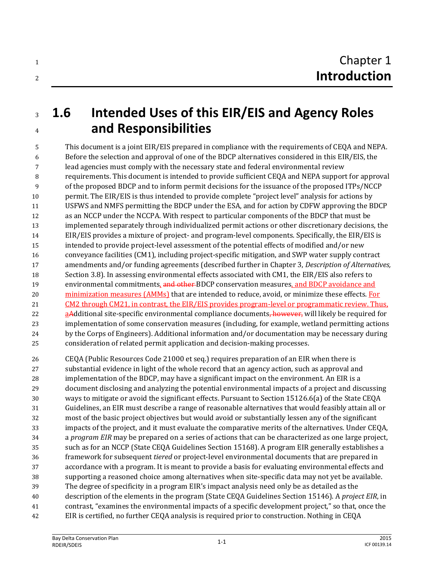## **1.6 Intended Uses of this EIR/EIS and Agency Roles and Responsibilities**

 This document is a joint EIR/EIS prepared in compliance with the requirements of CEQA and NEPA. Before the selection and approval of one of the BDCP alternatives considered in this EIR/EIS, the lead agencies must comply with the necessary state and federal environmental review requirements. This document is intended to provide sufficient CEQA and NEPA support for approval of the proposed BDCP and to inform permit decisions for the issuance of the proposed ITPs/NCCP permit. The EIR/EIS is thus intended to provide complete "project level" analysis for actions by USFWS and NMFS permitting the BDCP under the ESA, and for action by CDFW approving the BDCP as an NCCP under the NCCPA. With respect to particular components of the BDCP that must be implemented separately through individualized permit actions or other discretionary decisions, the EIR/EIS provides a mixture of project- and program-level components. Specifically, the EIR/EIS is intended to provide project-level assessment of the potential effects of modified and/or new conveyance facilities (CM1), including project-specific mitigation, and SWP water supply contract amendments and/or funding agreements (described further in Chapter 3, *Description of Alternatives,*  Section 3.8). In assessing environmental effects associated with CM1, the EIR/EIS also refers to 19 environmental commitments, and other BDCP conservation measures, and BDCP avoidance and 20 minimization measures (AMMs) that are intended to reduce, avoid, or minimize these effects. For CM2 through CM21, in contrast, the EIR/EIS provides program-level or programmatic review. Thus, 22 aAdditional site-specific environmental compliance documents, however, will likely be required for implementation of some conservation measures (including, for example, wetland permitting actions by the Corps of Engineers). Additional information and/or documentation may be necessary during consideration of related permit application and decision-making processes.

 CEQA (Public Resources Code 21000 et seq.) requires preparation of an EIR when there is substantial evidence in light of the whole record that an agency action, such as approval and implementation of the BDCP, may have a significant impact on the environment. An EIR is a document disclosing and analyzing the potential environmental impacts of a project and discussing ways to mitigate or avoid the significant effects. Pursuant to Section 15126.6(a) of the State CEQA Guidelines, an EIR must describe a range of reasonable alternatives that would feasibly attain all or most of the basic project objectives but would avoid or substantially lessen any of the significant impacts of the project, and it must evaluate the comparative merits of the alternatives. Under CEQA, a *program EIR* may be prepared on a series of actions that can be characterized as one large project, such as for an NCCP (State CEQA Guidelines Section 15168). A program EIR generally establishes a framework for subsequent *tiered* or project-level environmental documents that are prepared in accordance with a program. It is meant to provide a basis for evaluating environmental effects and supporting a reasoned choice among alternatives when site-specific data may not yet be available. The degree of specificity in a program EIR's impact analysis need only be as detailed as the description of the elements in the program (State CEQA Guidelines Section 15146). A *project EIR*, in contrast, "examines the environmental impacts of a specific development project," so that, once the EIR is certified, no further CEQA analysis is required prior to construction. Nothing in CEQA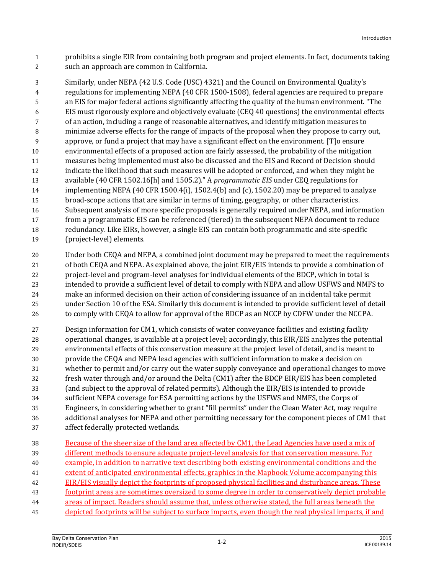prohibits a single EIR from containing both program and project elements. In fact, documents taking such an approach are common in California.

 Similarly, under NEPA (42 U.S. Code (USC) 4321) and the Council on Environmental Quality's regulations for implementing NEPA (40 CFR 1500-1508), federal agencies are required to prepare an EIS for major federal actions significantly affecting the quality of the human environment. "The EIS must rigorously explore and objectively evaluate (CEQ 40 questions) the environmental effects of an action, including a range of reasonable alternatives, and identify mitigation measures to minimize adverse effects for the range of impacts of the proposal when they propose to carry out, approve, or fund a project that may have a significant effect on the environment. [T]o ensure environmental effects of a proposed action are fairly assessed, the probability of the mitigation measures being implemented must also be discussed and the EIS and Record of Decision should indicate the likelihood that such measures will be adopted or enforced, and when they might be available (40 CFR 1502.16[h] and 1505.2)." A *programmatic EIS* under CEQ regulations for implementing NEPA (40 CFR 1500.4(i), 1502.4(b) and (c), 1502.20) may be prepared to analyze broad-scope actions that are similar in terms of timing, geography, or other characteristics. Subsequent analysis of more specific proposals is generally required under NEPA, and information from a programmatic EIS can be referenced (tiered) in the subsequent NEPA document to reduce redundancy. Like EIRs, however, a single EIS can contain both programmatic and site-specific (project-level) elements.

 Under both CEQA and NEPA, a combined joint document may be prepared to meet the requirements of both CEQA and NEPA. As explained above, the joint EIR/EIS intends to provide a combination of project-level and program-level analyses for individual elements of the BDCP, which in total is intended to provide a sufficient level of detail to comply with NEPA and allow USFWS and NMFS to make an informed decision on their action of considering issuance of an incidental take permit under Section 10 of the ESA. Similarly this document is intended to provide sufficient level of detail 26 to comply with CEQA to allow for approval of the BDCP as an NCCP by CDFW under the NCCPA.

 Design information for CM1, which consists of water conveyance facilities and existing facility operational changes, is available at a project level; accordingly, this EIR/EIS analyzes the potential environmental effects of this conservation measure at the project level of detail, and is meant to provide the CEQA and NEPA lead agencies with sufficient information to make a decision on whether to permit and/or carry out the water supply conveyance and operational changes to move fresh water through and/or around the Delta (CM1) after the BDCP EIR/EIS has been completed (and subject to the approval of related permits). Although the EIR/EIS is intended to provide sufficient NEPA coverage for ESA permitting actions by the USFWS and NMFS, the Corps of Engineers, in considering whether to grant "fill permits" under the Clean Water Act, may require additional analyses for NEPA and other permitting necessary for the component pieces of CM1 that affect federally protected wetlands.

| 38 | Because of the sheer size of the land area affected by CM1, the Lead Agencies have used a mix of      |
|----|-------------------------------------------------------------------------------------------------------|
| 39 | different methods to ensure adequate project-level analysis for that conservation measure. For        |
| 40 | example, in addition to narrative text describing both existing environmental conditions and the      |
| 41 | extent of anticipated environmental effects, graphics in the Mapbook Volume accompanying this         |
| 42 | EIR/EIS visually depict the footprints of proposed physical facilities and disturbance areas. These   |
| 43 | footprint areas are sometimes oversized to some degree in order to conservatively depict probable     |
| 44 | areas of impact. Readers should assume that, unless otherwise stated, the full areas beneath the      |
| 45 | depicted footprints will be subject to surface impacts, even though the real physical impacts, if and |
|    |                                                                                                       |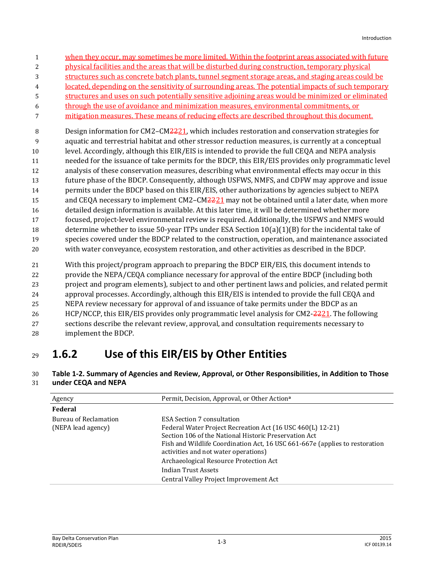| $\mathbf{1}$   | when they occur, may sometimes be more limited. Within the footprint areas associated with future   |
|----------------|-----------------------------------------------------------------------------------------------------|
| $\overline{c}$ | physical facilities and the areas that will be disturbed during construction, temporary physical    |
| 3              | structures such as concrete batch plants, tunnel segment storage areas, and staging areas could be  |
| 4              | located, depending on the sensitivity of surrounding areas. The potential impacts of such temporary |
| 5              | structures and uses on such potentially sensitive adjoining areas would be minimized or eliminated  |
| 6              | through the use of avoidance and minimization measures, environmental commitments, or               |
| 7              | mitigation measures. These means of reducing effects are described throughout this document.        |
| 8              | Design information for CM2-CM2221, which includes restoration and conservation strategies for       |
| 9              | aquatic and terrestrial habitat and other stressor reduction measures, is currently at a conceptual |
| 10             | level. Accordingly, although this EIR/EIS is intended to provide the full CEQA and NEPA analysis    |
| 11             | needed for the issuance of take permits for the BDCP, this EIR/EIS provides only programmatic level |
| 12             | analysis of these conservation measures, describing what environmental effects may occur in this    |
| 13             | future phase of the BDCP. Consequently, although USFWS, NMFS, and CDFW may approve and issue        |
| 14             | permits under the BDCP based on this EIR/EIS, other authorizations by agencies subject to NEPA      |
| 15             | and CEQA necessary to implement CM2-CM2221 may not be obtained until a later date, when more        |
| 16             | detailed design information is available. At this later time, it will be determined whether more    |
| 17             | focused, project-level environmental review is required. Additionally, the USFWS and NMFS would     |
| 18             | determine whether to issue 50-year ITPs under ESA Section $10(a)(1)(B)$ for the incidental take of  |
| 19             | species covered under the BDCP related to the construction, operation, and maintenance associated   |
| 20             | with water conveyance, ecosystem restoration, and other activities as described in the BDCP.        |
| $21\,$         | With this project/program approach to preparing the BDCP EIR/EIS, this document intends to          |
| 22             | provide the NEPA/CEQA compliance necessary for approval of the entire BDCP (including both          |
| 23             | project and program elements), subject to and other pertinent laws and policies, and related permit |

24 approval processes. Accordingly, although this EIR/EIS is intended to provide the full CEQA and

25 NEPA review necessary for approval of and issuance of take permits under the BDCP as an

26 HCP/NCCP, this EIR/EIS provides only programmatic level analysis for CM2-2221. The following

- 27 sections describe the relevant review, approval, and consultation requirements necessary to
- 28 implement the BDCP.

## <sup>29</sup> **1.6.2 Use of this EIR/EIS by Other Entities**

## 30 **Table 1-2. Summary of Agencies and Review, Approval, or Other Responsibilities, in Addition to Those**  31 **under CEQA and NEPA**

| Agency                                      | Permit, Decision, Approval, or Other Action <sup>a</sup>                                                                                                                                                                                                                                                                                                                                   |
|---------------------------------------------|--------------------------------------------------------------------------------------------------------------------------------------------------------------------------------------------------------------------------------------------------------------------------------------------------------------------------------------------------------------------------------------------|
| Federal                                     |                                                                                                                                                                                                                                                                                                                                                                                            |
| Bureau of Reclamation<br>(NEPA lead agency) | <b>ESA Section 7 consultation</b><br>Federal Water Project Recreation Act (16 USC 460(L) 12-21)<br>Section 106 of the National Historic Preservation Act<br>Fish and Wildlife Coordination Act, 16 USC 661-667e (applies to restoration<br>activities and not water operations)<br>Archaeological Resource Protection Act<br>Indian Trust Assets<br>Central Valley Project Improvement Act |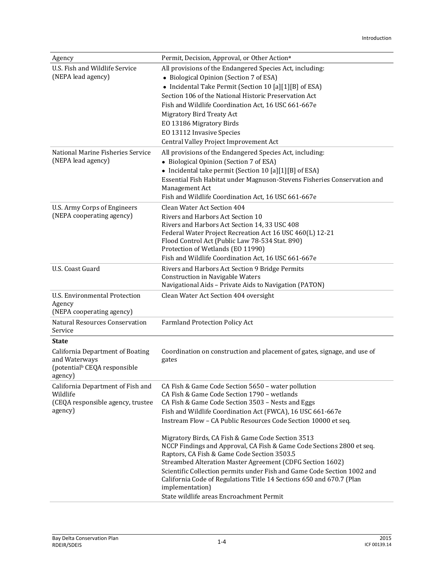| Agency                                        | Permit, Decision, Approval, or Other Action <sup>a</sup>                                         |  |
|-----------------------------------------------|--------------------------------------------------------------------------------------------------|--|
| U.S. Fish and Wildlife Service                | All provisions of the Endangered Species Act, including:                                         |  |
| (NEPA lead agency)                            | • Biological Opinion (Section 7 of ESA)                                                          |  |
|                                               | • Incidental Take Permit (Section 10 [a][1][B] of ESA)                                           |  |
|                                               | Section 106 of the National Historic Preservation Act                                            |  |
|                                               | Fish and Wildlife Coordination Act, 16 USC 661-667e                                              |  |
|                                               | Migratory Bird Treaty Act                                                                        |  |
|                                               | EO 13186 Migratory Birds                                                                         |  |
|                                               | EO 13112 Invasive Species                                                                        |  |
|                                               | Central Valley Project Improvement Act                                                           |  |
| National Marine Fisheries Service             | All provisions of the Endangered Species Act, including:                                         |  |
| (NEPA lead agency)                            | • Biological Opinion (Section 7 of ESA)                                                          |  |
|                                               | • Incidental take permit (Section 10 [a][1][B] of ESA)                                           |  |
|                                               | Essential Fish Habitat under Magnuson-Stevens Fisheries Conservation and                         |  |
|                                               | Management Act                                                                                   |  |
|                                               | Fish and Wildlife Coordination Act, 16 USC 661-667e                                              |  |
| U.S. Army Corps of Engineers                  | Clean Water Act Section 404                                                                      |  |
| (NEPA cooperating agency)                     | Rivers and Harbors Act Section 10                                                                |  |
|                                               | Rivers and Harbors Act Section 14, 33 USC 408                                                    |  |
|                                               | Federal Water Project Recreation Act 16 USC 460(L) 12-21                                         |  |
|                                               | Flood Control Act (Public Law 78-534 Stat. 890)<br>Protection of Wetlands (EO 11990)             |  |
|                                               | Fish and Wildlife Coordination Act, 16 USC 661-667e                                              |  |
| U.S. Coast Guard                              | Rivers and Harbors Act Section 9 Bridge Permits                                                  |  |
|                                               | <b>Construction in Navigable Waters</b>                                                          |  |
|                                               | Navigational Aids - Private Aids to Navigation (PATON)                                           |  |
| U.S. Environmental Protection                 | Clean Water Act Section 404 oversight                                                            |  |
| Agency                                        |                                                                                                  |  |
| (NEPA cooperating agency)                     |                                                                                                  |  |
| <b>Natural Resources Conservation</b>         | <b>Farmland Protection Policy Act</b>                                                            |  |
| Service                                       |                                                                                                  |  |
| <b>State</b>                                  |                                                                                                  |  |
| <b>California Department of Boating</b>       | Coordination on construction and placement of gates, signage, and use of                         |  |
| and Waterways                                 | gates                                                                                            |  |
| (potential <sup>b</sup> CEQA responsible      |                                                                                                  |  |
| agency)                                       |                                                                                                  |  |
| California Department of Fish and<br>Wildlife | CA Fish & Game Code Section 5650 - water pollution                                               |  |
| (CEQA responsible agency, trustee             | CA Fish & Game Code Section 1790 - wetlands<br>CA Fish & Game Code Section 3503 - Nests and Eggs |  |
| agency)                                       | Fish and Wildlife Coordination Act (FWCA), 16 USC 661-667e                                       |  |
|                                               | Instream Flow - CA Public Resources Code Section 10000 et seq.                                   |  |
|                                               |                                                                                                  |  |
|                                               | Migratory Birds, CA Fish & Game Code Section 3513                                                |  |
|                                               | NCCP Findings and Approval, CA Fish & Game Code Sections 2800 et seq.                            |  |
|                                               | Raptors, CA Fish & Game Code Section 3503.5                                                      |  |
|                                               | Streambed Alteration Master Agreement (CDFG Section 1602)                                        |  |
|                                               | Scientific Collection permits under Fish and Game Code Section 1002 and                          |  |
|                                               | California Code of Regulations Title 14 Sections 650 and 670.7 (Plan                             |  |
|                                               | implementation)<br>State wildlife areas Encroachment Permit                                      |  |
|                                               |                                                                                                  |  |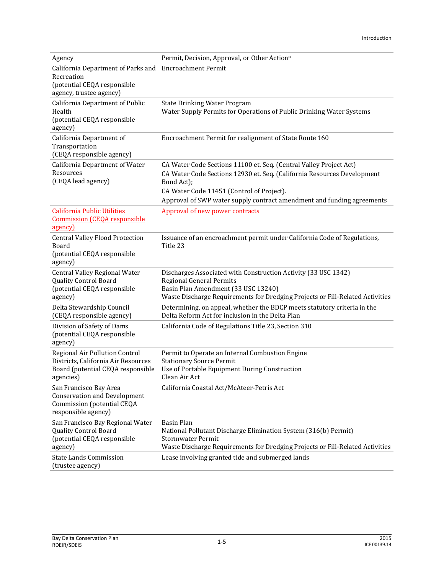| Agency                                                                                                                         | Permit, Decision, Approval, or Other Action <sup>a</sup>                                                                                                                                                                                                                           |
|--------------------------------------------------------------------------------------------------------------------------------|------------------------------------------------------------------------------------------------------------------------------------------------------------------------------------------------------------------------------------------------------------------------------------|
| California Department of Parks and Encroachment Permit<br>Recreation<br>(potential CEQA responsible<br>agency, trustee agency) |                                                                                                                                                                                                                                                                                    |
| California Department of Public<br>Health<br>(potential CEQA responsible<br>agency)                                            | <b>State Drinking Water Program</b><br>Water Supply Permits for Operations of Public Drinking Water Systems                                                                                                                                                                        |
| California Department of<br>Transportation<br>(CEQA responsible agency)                                                        | Encroachment Permit for realignment of State Route 160                                                                                                                                                                                                                             |
| California Department of Water<br>Resources<br>(CEQA lead agency)                                                              | CA Water Code Sections 11100 et. Seq. (Central Valley Project Act)<br>CA Water Code Sections 12930 et. Seq. (California Resources Development<br>Bond Act);<br>CA Water Code 11451 (Control of Project).<br>Approval of SWP water supply contract amendment and funding agreements |
| <b>California Public Utilities</b><br><b>Commission (CEOA responsible</b><br>agency)                                           | Approval of new power contracts                                                                                                                                                                                                                                                    |
| <b>Central Valley Flood Protection</b><br>Board<br>(potential CEQA responsible<br>agency)                                      | Issuance of an encroachment permit under California Code of Regulations,<br>Title 23                                                                                                                                                                                               |
| Central Valley Regional Water<br><b>Quality Control Board</b><br>(potential CEQA responsible<br>agency)                        | Discharges Associated with Construction Activity (33 USC 1342)<br><b>Regional General Permits</b><br>Basin Plan Amendment (33 USC 13240)<br>Waste Discharge Requirements for Dredging Projects or Fill-Related Activities                                                          |
| Delta Stewardship Council<br>(CEQA responsible agency)                                                                         | Determining, on appeal, whether the BDCP meets statutory criteria in the<br>Delta Reform Act for inclusion in the Delta Plan                                                                                                                                                       |
| Division of Safety of Dams<br>(potential CEQA responsible<br>agency)                                                           | California Code of Regulations Title 23, Section 310                                                                                                                                                                                                                               |
| Regional Air Pollution Control<br>Districts, California Air Resources<br>Board (potential CEQA responsible<br>agencies)        | Permit to Operate an Internal Combustion Engine<br><b>Stationary Source Permit</b><br>Use of Portable Equipment During Construction<br>Clean Air Act                                                                                                                               |
| San Francisco Bay Area<br><b>Conservation and Development</b><br>Commission (potential CEQA<br>responsible agency)             | California Coastal Act/McAteer-Petris Act                                                                                                                                                                                                                                          |
| San Francisco Bay Regional Water<br><b>Quality Control Board</b><br>(potential CEQA responsible<br>agency)                     | <b>Basin Plan</b><br>National Pollutant Discharge Elimination System (316(b) Permit)<br>Stormwater Permit<br>Waste Discharge Requirements for Dredging Projects or Fill-Related Activities                                                                                         |
| <b>State Lands Commission</b><br>(trustee agency)                                                                              | Lease involving granted tide and submerged lands                                                                                                                                                                                                                                   |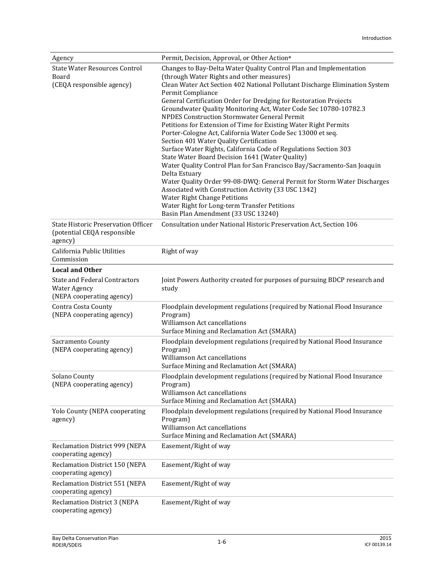| Agency                                                                                   | Permit, Decision, Approval, or Other Action <sup>a</sup>                                                                                                                                                                                                                                                                                                                                                                                                                                                                                                                                                                                                                                                                                                                                                                                                                                                                                                                                                                                                                       |  |
|------------------------------------------------------------------------------------------|--------------------------------------------------------------------------------------------------------------------------------------------------------------------------------------------------------------------------------------------------------------------------------------------------------------------------------------------------------------------------------------------------------------------------------------------------------------------------------------------------------------------------------------------------------------------------------------------------------------------------------------------------------------------------------------------------------------------------------------------------------------------------------------------------------------------------------------------------------------------------------------------------------------------------------------------------------------------------------------------------------------------------------------------------------------------------------|--|
| <b>State Water Resources Control</b><br>Board<br>(CEQA responsible agency)               | Changes to Bay-Delta Water Quality Control Plan and Implementation<br>(through Water Rights and other measures)<br>Clean Water Act Section 402 National Pollutant Discharge Elimination System<br>Permit Compliance<br>General Certification Order for Dredging for Restoration Projects<br>Groundwater Quality Monitoring Act, Water Code Sec 10780-10782.3<br>NPDES Construction Stormwater General Permit<br>Petitions for Extension of Time for Existing Water Right Permits<br>Porter-Cologne Act, California Water Code Sec 13000 et seq.<br>Section 401 Water Quality Certification<br>Surface Water Rights, California Code of Regulations Section 303<br>State Water Board Decision 1641 (Water Quality)<br>Water Quality Control Plan for San Francisco Bay/Sacramento-San Joaquin<br>Delta Estuary<br>Water Quality Order 99-08-DWQ: General Permit for Storm Water Discharges<br>Associated with Construction Activity (33 USC 1342)<br><b>Water Right Change Petitions</b><br>Water Right for Long-term Transfer Petitions<br>Basin Plan Amendment (33 USC 13240) |  |
| <b>State Historic Preservation Officer</b><br>(potential CEQA responsible<br>agency)     | Consultation under National Historic Preservation Act, Section 106                                                                                                                                                                                                                                                                                                                                                                                                                                                                                                                                                                                                                                                                                                                                                                                                                                                                                                                                                                                                             |  |
| California Public Utilities<br>Commission                                                | Right of way                                                                                                                                                                                                                                                                                                                                                                                                                                                                                                                                                                                                                                                                                                                                                                                                                                                                                                                                                                                                                                                                   |  |
| <b>Local and Other</b>                                                                   |                                                                                                                                                                                                                                                                                                                                                                                                                                                                                                                                                                                                                                                                                                                                                                                                                                                                                                                                                                                                                                                                                |  |
| <b>State and Federal Contractors</b><br><b>Water Agency</b><br>(NEPA cooperating agency) | Joint Powers Authority created for purposes of pursuing BDCP research and<br>study                                                                                                                                                                                                                                                                                                                                                                                                                                                                                                                                                                                                                                                                                                                                                                                                                                                                                                                                                                                             |  |
| Contra Costa County<br>(NEPA cooperating agency)                                         | Floodplain development regulations (required by National Flood Insurance<br>Program)<br>Williamson Act cancellations<br>Surface Mining and Reclamation Act (SMARA)                                                                                                                                                                                                                                                                                                                                                                                                                                                                                                                                                                                                                                                                                                                                                                                                                                                                                                             |  |
| Sacramento County<br>(NEPA cooperating agency)                                           | Floodplain development regulations (required by National Flood Insurance<br>Program)<br>Williamson Act cancellations<br>Surface Mining and Reclamation Act (SMARA)                                                                                                                                                                                                                                                                                                                                                                                                                                                                                                                                                                                                                                                                                                                                                                                                                                                                                                             |  |
| Solano County<br>(NEPA cooperating agency)                                               | Floodplain development regulations (required by National Flood Insurance<br>Program)<br>Williamson Act cancellations<br>Surface Mining and Reclamation Act (SMARA)                                                                                                                                                                                                                                                                                                                                                                                                                                                                                                                                                                                                                                                                                                                                                                                                                                                                                                             |  |
| Yolo County (NEPA cooperating<br>agency)                                                 | Floodplain development regulations (required by National Flood Insurance<br>Program)<br>Williamson Act cancellations<br>Surface Mining and Reclamation Act (SMARA)                                                                                                                                                                                                                                                                                                                                                                                                                                                                                                                                                                                                                                                                                                                                                                                                                                                                                                             |  |
| Reclamation District 999 (NEPA<br>cooperating agency)                                    | Easement/Right of way                                                                                                                                                                                                                                                                                                                                                                                                                                                                                                                                                                                                                                                                                                                                                                                                                                                                                                                                                                                                                                                          |  |
| Reclamation District 150 (NEPA<br>cooperating agency)                                    | Easement/Right of way                                                                                                                                                                                                                                                                                                                                                                                                                                                                                                                                                                                                                                                                                                                                                                                                                                                                                                                                                                                                                                                          |  |
| Reclamation District 551 (NEPA<br>cooperating agency)                                    | Easement/Right of way                                                                                                                                                                                                                                                                                                                                                                                                                                                                                                                                                                                                                                                                                                                                                                                                                                                                                                                                                                                                                                                          |  |
| <b>Reclamation District 3 (NEPA</b><br>cooperating agency)                               | Easement/Right of way                                                                                                                                                                                                                                                                                                                                                                                                                                                                                                                                                                                                                                                                                                                                                                                                                                                                                                                                                                                                                                                          |  |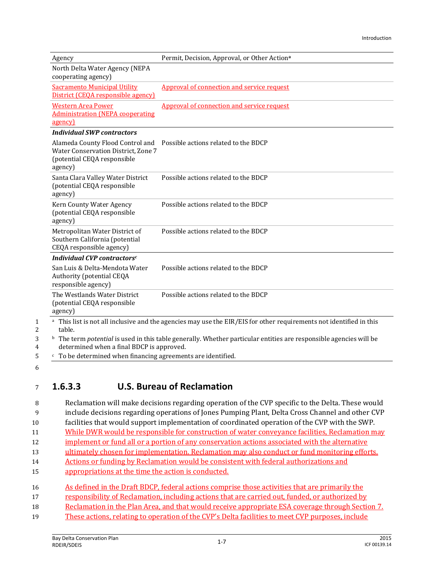| Agency                                                                                       | Permit, Decision, Approval, or Other Actiona                                                                                         |
|----------------------------------------------------------------------------------------------|--------------------------------------------------------------------------------------------------------------------------------------|
| North Delta Water Agency (NEPA<br>cooperating agency)                                        |                                                                                                                                      |
| <b>Sacramento Municipal Utility</b><br>District (CEOA responsible agency)                    | Approval of connection and service request                                                                                           |
| <b>Western Area Power</b><br><b>Administration (NEPA cooperating</b><br>agency)              | Approval of connection and service request                                                                                           |
| <b>Individual SWP contractors</b>                                                            |                                                                                                                                      |
| Water Conservation District, Zone 7<br>(potential CEQA responsible<br>agency)                | Alameda County Flood Control and  Possible actions related to the BDCP                                                               |
| Santa Clara Valley Water District<br>(potential CEQA responsible<br>agency)                  | Possible actions related to the BDCP                                                                                                 |
| Kern County Water Agency<br>(potential CEQA responsible<br>agency)                           | Possible actions related to the BDCP                                                                                                 |
| Metropolitan Water District of<br>Southern California (potential<br>CEQA responsible agency) | Possible actions related to the BDCP                                                                                                 |
| Individual CVP contractors <sup>c</sup>                                                      |                                                                                                                                      |
| San Luis & Delta-Mendota Water<br>Authority (potential CEQA<br>responsible agency)           | Possible actions related to the BDCP                                                                                                 |
| The Westlands Water District<br>(potential CEQA responsible<br>agency)                       | Possible actions related to the BDCP                                                                                                 |
| table.                                                                                       | <sup>a</sup> This list is not all inclusive and the agencies may use the EIR/EIS for other requirements not identified in this       |
| determined when a final BDCP is approved.                                                    | <sup>b</sup> The term <i>potential</i> is used in this table generally. Whether particular entities are responsible agencies will be |
| <sup>c</sup> To be determined when financing agreements are identified.                      |                                                                                                                                      |

5 6

1

 $\mathbf{2}$ 3

## <sup>7</sup> **1.6.3.3 U.S. Bureau of Reclamation**

 Reclamation will make decisions regarding operation of the CVP specific to the Delta. These would include decisions regarding operations of Jones Pumping Plant, Delta Cross Channel and other CVP facilities that would support implementation of coordinated operation of the CVP with the SWP. 11 While DWR would be responsible for construction of water conveyance facilities, Reclamation may 12 implement or fund all or a portion of any conservation actions associated with the alternative ultimately chosen for implementation. Reclamation may also conduct or fund monitoring efforts. 14 Actions or funding by Reclamation would be consistent with federal authorizations and appropriations at the time the action is conducted. As defined in the Draft BDCP, federal actions comprise those activities that are primarily the responsibility of Reclamation, including actions that are carried out, funded, or authorized by Reclamation in the Plan Area, and that would receive appropriate ESA coverage through Section 7. These actions, relating to operation of the CVP's Delta facilities to meet CVP purposes, include